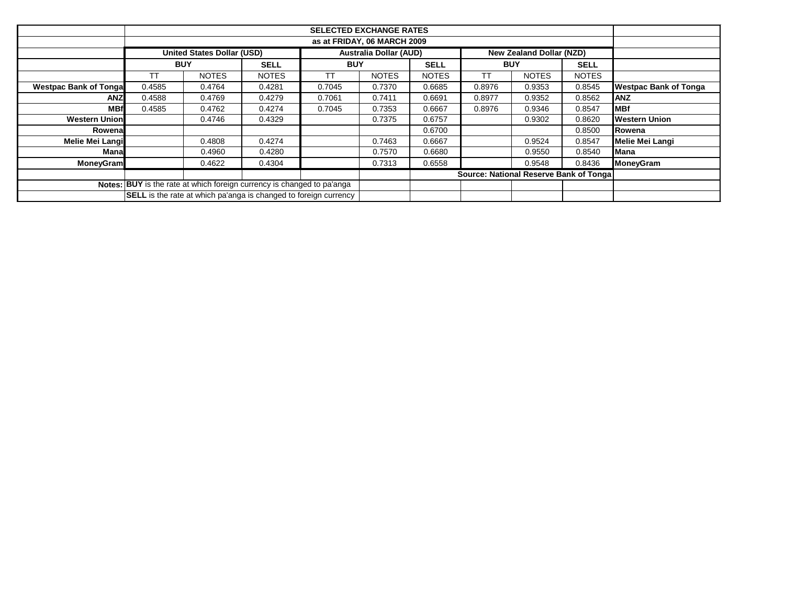|                               | <b>SELECTED EXCHANGE RATES</b>         |                                   |                                                                         |            |                               |              |                          |              |              |                              |  |
|-------------------------------|----------------------------------------|-----------------------------------|-------------------------------------------------------------------------|------------|-------------------------------|--------------|--------------------------|--------------|--------------|------------------------------|--|
|                               | as at FRIDAY, 06 MARCH 2009            |                                   |                                                                         |            |                               |              |                          |              |              |                              |  |
|                               |                                        | <b>United States Dollar (USD)</b> |                                                                         |            | <b>Australia Dollar (AUD)</b> |              | New Zealand Dollar (NZD) |              |              |                              |  |
|                               | <b>BUY</b>                             |                                   | <b>SELL</b>                                                             | <b>BUY</b> |                               | <b>SELL</b>  | <b>BUY</b>               |              | <b>SELL</b>  |                              |  |
|                               | ТT                                     | <b>NOTES</b>                      | <b>NOTES</b>                                                            | ТT         | <b>NOTES</b>                  | <b>NOTES</b> | ТT                       | <b>NOTES</b> | <b>NOTES</b> |                              |  |
| <b>Westpac Bank of Tongal</b> | 0.4585                                 | 0.4764                            | 0.4281                                                                  | 0.7045     | 0.7370                        | 0.6685       | 0.8976                   | 0.9353       | 0.8545       | <b>Westpac Bank of Tonga</b> |  |
| <b>ANZ</b>                    | 0.4588                                 | 0.4769                            | 0.4279                                                                  | 0.7061     | 0.7411                        | 0.6691       | 0.8977                   | 0.9352       | 0.8562       | <b>ANZ</b>                   |  |
| <b>MBf</b>                    | 0.4585                                 | 0.4762                            | 0.4274                                                                  | 0.7045     | 0.7353                        | 0.6667       | 0.8976                   | 0.9346       | 0.8547       | <b>MBf</b>                   |  |
| <b>Western Union</b>          |                                        | 0.4746                            | 0.4329                                                                  |            | 0.7375                        | 0.6757       |                          | 0.9302       | 0.8620       | <b>Western Union</b>         |  |
| Rowenal                       |                                        |                                   |                                                                         |            |                               | 0.6700       |                          |              | 0.8500       | Rowena                       |  |
| Melie Mei Langi               |                                        | 0.4808                            | 0.4274                                                                  |            | 0.7463                        | 0.6667       |                          | 0.9524       | 0.8547       | <b>Melie Mei Langi</b>       |  |
| Manal                         |                                        | 0.4960                            | 0.4280                                                                  |            | 0.7570                        | 0.6680       |                          | 0.9550       | 0.8540       | <b>Mana</b>                  |  |
| <b>MoneyGram</b>              |                                        | 0.4622                            | 0.4304                                                                  |            | 0.7313                        | 0.6558       |                          | 0.9548       | 0.8436       | <b>MoneyGram</b>             |  |
|                               | Source: National Reserve Bank of Tonga |                                   |                                                                         |            |                               |              |                          |              |              |                              |  |
|                               |                                        |                                   | Notes: BUY is the rate at which foreign currency is changed to pa'anga  |            |                               |              |                          |              |              |                              |  |
|                               |                                        |                                   | <b>SELL</b> is the rate at which pa'anga is changed to foreign currency |            |                               |              |                          |              |              |                              |  |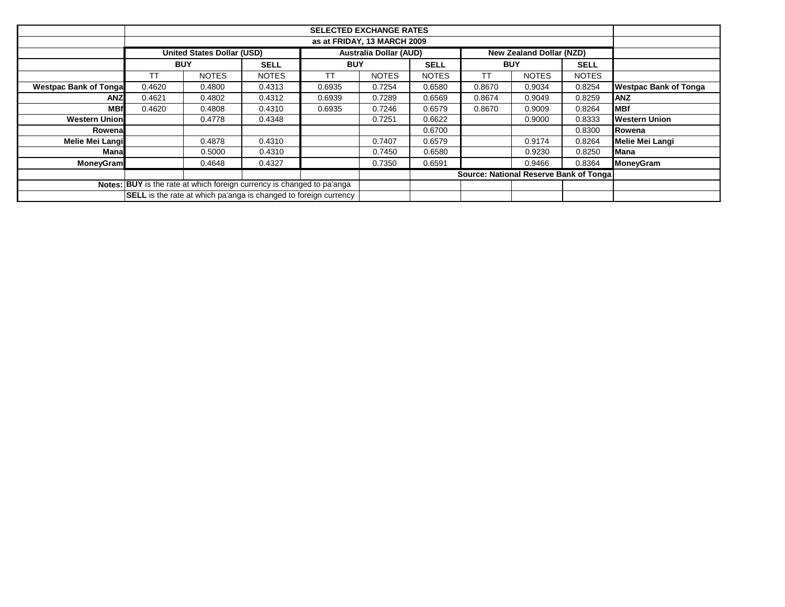|                               | <b>SELECTED EXCHANGE RATES</b>         |                                   |                                                                         |            |                               |              |                          |              |              |                              |  |
|-------------------------------|----------------------------------------|-----------------------------------|-------------------------------------------------------------------------|------------|-------------------------------|--------------|--------------------------|--------------|--------------|------------------------------|--|
|                               | as at FRIDAY, 13 MARCH 2009            |                                   |                                                                         |            |                               |              |                          |              |              |                              |  |
|                               |                                        | <b>United States Dollar (USD)</b> |                                                                         |            | <b>Australia Dollar (AUD)</b> |              | New Zealand Dollar (NZD) |              |              |                              |  |
|                               | <b>BUY</b>                             |                                   | <b>SELL</b>                                                             | <b>BUY</b> |                               | <b>SELL</b>  | <b>BUY</b>               |              | <b>SELL</b>  |                              |  |
|                               | ТT                                     | <b>NOTES</b>                      | <b>NOTES</b>                                                            | ТT         | <b>NOTES</b>                  | <b>NOTES</b> | ТT                       | <b>NOTES</b> | <b>NOTES</b> |                              |  |
| <b>Westpac Bank of Tongal</b> | 0.4620                                 | 0.4800                            | 0.4313                                                                  | 0.6935     | 0.7254                        | 0.6580       | 0.8670                   | 0.9034       | 0.8254       | <b>Westpac Bank of Tonga</b> |  |
| <b>ANZ</b>                    | 0.4621                                 | 0.4802                            | 0.4312                                                                  | 0.6939     | 0.7289                        | 0.6569       | 0.8674                   | 0.9049       | 0.8259       | <b>ANZ</b>                   |  |
| <b>MBf</b>                    | 0.4620                                 | 0.4808                            | 0.4310                                                                  | 0.6935     | 0.7246                        | 0.6579       | 0.8670                   | 0.9009       | 0.8264       | <b>MBf</b>                   |  |
| <b>Western Union</b>          |                                        | 0.4778                            | 0.4348                                                                  |            | 0.7251                        | 0.6622       |                          | 0.9000       | 0.8333       | <b>Western Union</b>         |  |
| Rowenal                       |                                        |                                   |                                                                         |            |                               | 0.6700       |                          |              | 0.8300       | Rowena                       |  |
| Melie Mei Langi               |                                        | 0.4878                            | 0.4310                                                                  |            | 0.7407                        | 0.6579       |                          | 0.9174       | 0.8264       | <b>Melie Mei Langi</b>       |  |
| Manal                         |                                        | 0.5000                            | 0.4310                                                                  |            | 0.7450                        | 0.6580       |                          | 0.9230       | 0.8250       | <b>Mana</b>                  |  |
| <b>MoneyGram</b>              |                                        | 0.4648                            | 0.4327                                                                  |            | 0.7350                        | 0.6591       |                          | 0.9466       | 0.8364       | <b>MoneyGram</b>             |  |
|                               | Source: National Reserve Bank of Tonga |                                   |                                                                         |            |                               |              |                          |              |              |                              |  |
|                               |                                        |                                   | Notes: BUY is the rate at which foreign currency is changed to pa'anga  |            |                               |              |                          |              |              |                              |  |
|                               |                                        |                                   | <b>SELL</b> is the rate at which pa'anga is changed to foreign currency |            |                               |              |                          |              |              |                              |  |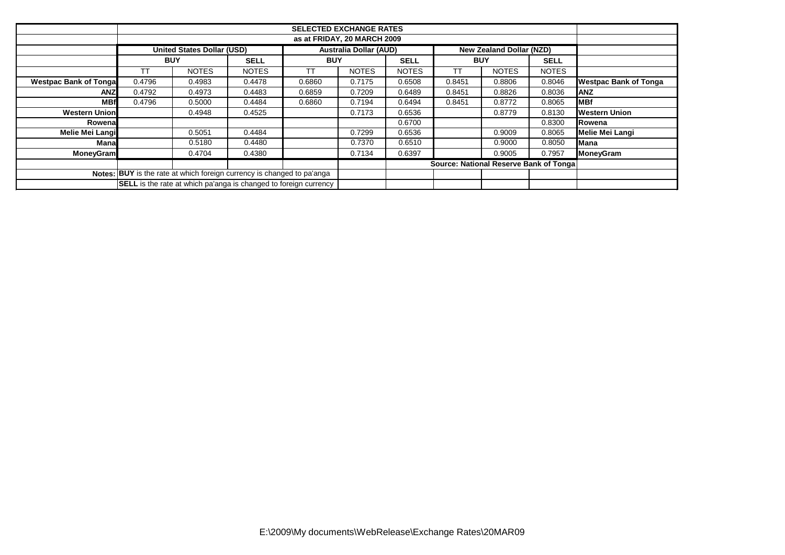|                               |                                         | United States Dollar (USD)                                                    |                  |            | <b>Australia Dollar (AUD)</b> |              | <b>New Zealand Dollar (NZD)</b> |              |              |                              |
|-------------------------------|-----------------------------------------|-------------------------------------------------------------------------------|------------------|------------|-------------------------------|--------------|---------------------------------|--------------|--------------|------------------------------|
|                               | <b>BUY</b>                              |                                                                               | <b>SELL</b>      | <b>BUY</b> |                               | <b>SELL</b>  | <b>BUY</b>                      |              | <b>SELL</b>  |                              |
|                               |                                         | <b>NOTES</b>                                                                  | <b>NOTES</b>     | <b>TT</b>  | <b>NOTES</b>                  | <b>NOTES</b> | ТT                              | <b>NOTES</b> | <b>NOTES</b> |                              |
| <b>Westpac Bank of Tongal</b> | 0.4796                                  | 0.4983                                                                        | 0.4478           | 0.6860     | 0.7175                        | 0.6508       | 0.8451                          | 0.8806       | 0.8046       | <b>Westpac Bank of Tonga</b> |
| <b>ANZ</b>                    | 0.4792                                  | 0.4973                                                                        | 0.4483           | 0.6859     | 0.7209                        | 0.6489       | 0.8451                          | 0.8826       | 0.8036       | <b>ANZ</b>                   |
| <b>MBf</b>                    | 0.4796                                  | 0.5000                                                                        | 0.4484           | 0.6860     | 0.7194                        | 0.6494       | 0.8451                          | 0.8772       | 0.8065       | <b>MBf</b>                   |
| <b>Western Union</b>          |                                         | 0.4948                                                                        | 0.4525           |            | 0.7173                        | 0.6536       |                                 | 0.8779       | 0.8130       | <b>Western Union</b>         |
| Rowena                        |                                         |                                                                               | 0.6700<br>0.8300 |            |                               |              |                                 | Rowena       |              |                              |
| <b>Melie Mei Langi</b>        |                                         | 0.5051                                                                        | 0.4484           |            | 0.7299                        | 0.6536       |                                 | 0.9009       | 0.8065       | Melie Mei Langi              |
| Manal                         |                                         | 0.5180                                                                        | 0.4480           |            | 0.7370                        | 0.6510       |                                 | 0.9000       | 0.8050       | Mana                         |
| <b>MoneyGram</b>              |                                         | 0.4704                                                                        | 0.4380           |            | 0.7134                        | 0.6397       |                                 | 0.9005       | 0.7957       | <b>MoneyGram</b>             |
|                               | Source: National Reserve Bank of Tongal |                                                                               |                  |            |                               |              |                                 |              |              |                              |
|                               |                                         | <b>Notes: BUY</b> is the rate at which foreign currency is changed to pa'anga |                  |            |                               |              |                                 |              |              |                              |
|                               |                                         | <b>SELL</b> is the rate at which pa'anga is changed to foreign currency       |                  |            |                               |              |                                 |              |              |                              |